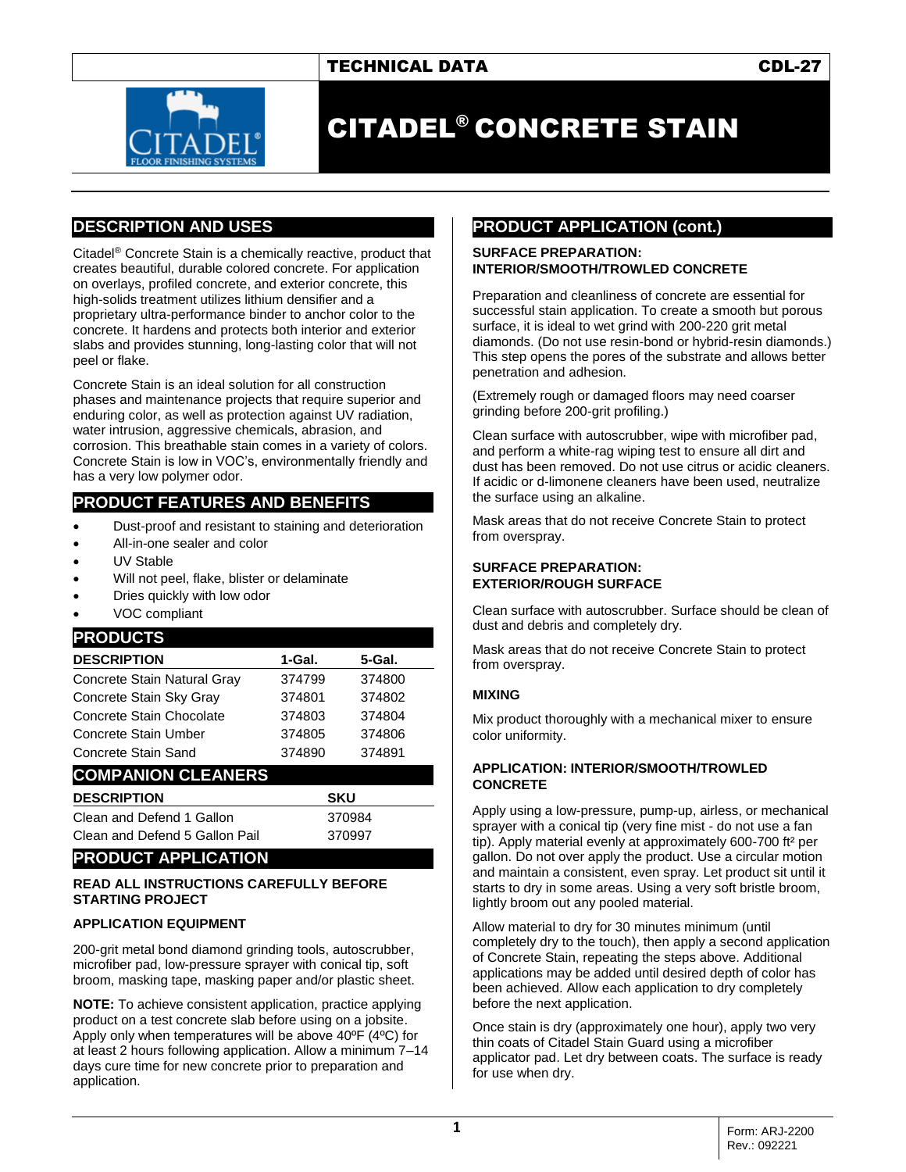## TECHNICAL DATA CDL-27



# CITADEL® CONCRETE STAIN

## **DESCRIPTION AND USES**

Citadel® Concrete Stain is a chemically reactive, product that creates beautiful, durable colored concrete. For application on overlays, profiled concrete, and exterior concrete, this high-solids treatment utilizes lithium densifier and a proprietary ultra-performance binder to anchor color to the concrete. It hardens and protects both interior and exterior slabs and provides stunning, long-lasting color that will not peel or flake.

Concrete Stain is an ideal solution for all construction phases and maintenance projects that require superior and enduring color, as well as protection against UV radiation, water intrusion, aggressive chemicals, abrasion, and corrosion. This breathable stain comes in a variety of colors. Concrete Stain is low in VOC's, environmentally friendly and has a very low polymer odor.

## **PRODUCT FEATURES AND BENEFITS**

- Dust-proof and resistant to staining and deterioration
- All-in-one sealer and color
- UV Stable
- Will not peel, flake, blister or delaminate
- Dries quickly with low odor
- VOC compliant

## **PRODUCTS**

| <b>DESCRIPTION</b>          | 1-Gal. | 5-Gal. |
|-----------------------------|--------|--------|
| Concrete Stain Natural Gray | 374799 | 374800 |
| Concrete Stain Sky Gray     | 374801 | 374802 |
| Concrete Stain Chocolate    | 374803 | 374804 |
| Concrete Stain Umber        | 374805 | 374806 |
| Concrete Stain Sand         | 374890 | 374891 |

## **COMPANION CLEANERS**

| <b>DESCRIPTION</b>             | <b>SKU</b> |
|--------------------------------|------------|
| Clean and Defend 1 Gallon      | 370984     |
| Clean and Defend 5 Gallon Pail | 370997     |

## **PRODUCT APPLICATION**

#### **READ ALL INSTRUCTIONS CAREFULLY BEFORE STARTING PROJECT**

## **APPLICATION EQUIPMENT**

200-grit metal bond diamond grinding tools, autoscrubber, microfiber pad, low-pressure sprayer with conical tip, soft broom, masking tape, masking paper and/or plastic sheet.

**NOTE:** To achieve consistent application, practice applying product on a test concrete slab before using on a jobsite. Apply only when temperatures will be above 40ºF (4ºC) for at least 2 hours following application. Allow a minimum 7–14 days cure time for new concrete prior to preparation and application.

## **PRODUCT APPLICATION (cont.)**

#### **SURFACE PREPARATION: INTERIOR/SMOOTH/TROWLED CONCRETE**

Preparation and cleanliness of concrete are essential for successful stain application. To create a smooth but porous surface, it is ideal to wet grind with 200-220 grit metal diamonds. (Do not use resin-bond or hybrid-resin diamonds.) This step opens the pores of the substrate and allows better penetration and adhesion.

(Extremely rough or damaged floors may need coarser grinding before 200-grit profiling.)

Clean surface with autoscrubber, wipe with microfiber pad, and perform a white-rag wiping test to ensure all dirt and dust has been removed. Do not use citrus or acidic cleaners. If acidic or d-limonene cleaners have been used, neutralize the surface using an alkaline.

Mask areas that do not receive Concrete Stain to protect from overspray.

#### **SURFACE PREPARATION: EXTERIOR/ROUGH SURFACE**

Clean surface with autoscrubber. Surface should be clean of dust and debris and completely dry.

Mask areas that do not receive Concrete Stain to protect from overspray.

## **MIXING**

Mix product thoroughly with a mechanical mixer to ensure color uniformity.

#### **APPLICATION: INTERIOR/SMOOTH/TROWLED CONCRETE**

Apply using a low-pressure, pump-up, airless, or mechanical sprayer with a conical tip (very fine mist - do not use a fan tip). Apply material evenly at approximately 600-700 ft² per gallon. Do not over apply the product. Use a circular motion and maintain a consistent, even spray. Let product sit until it starts to dry in some areas. Using a very soft bristle broom, lightly broom out any pooled material.

Allow material to dry for 30 minutes minimum (until completely dry to the touch), then apply a second application of Concrete Stain, repeating the steps above. Additional applications may be added until desired depth of color has been achieved. Allow each application to dry completely before the next application.

Once stain is dry (approximately one hour), apply two very thin coats of Citadel Stain Guard using a microfiber applicator pad. Let dry between coats. The surface is ready for use when dry.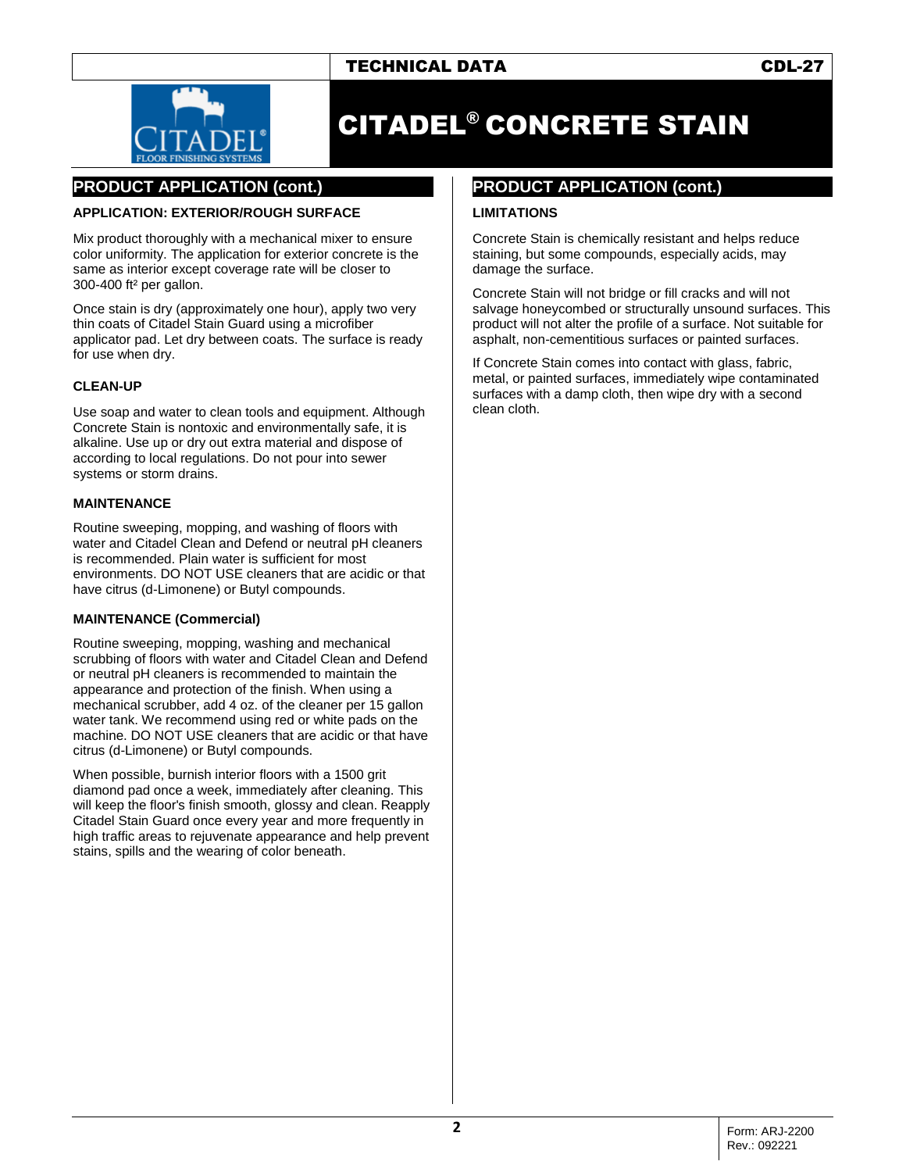# TECHNICAL DATA CDL-27



# CITADEL® CONCRETE STAIN

# **PRODUCT APPLICATION (cont.)**

#### **APPLICATION: EXTERIOR/ROUGH SURFACE**

Mix product thoroughly with a mechanical mixer to ensure color uniformity. The application for exterior concrete is the same as interior except coverage rate will be closer to 300-400 ft² per gallon.

Once stain is dry (approximately one hour), apply two very thin coats of Citadel Stain Guard using a microfiber applicator pad. Let dry between coats. The surface is ready for use when dry.

### **CLEAN-UP**

Use soap and water to clean tools and equipment. Although Concrete Stain is nontoxic and environmentally safe, it is alkaline. Use up or dry out extra material and dispose of according to local regulations. Do not pour into sewer systems or storm drains.

#### **MAINTENANCE**

Routine sweeping, mopping, and washing of floors with water and Citadel Clean and Defend or neutral pH cleaners is recommended. Plain water is sufficient for most environments. DO NOT USE cleaners that are acidic or that have citrus (d-Limonene) or Butyl compounds.

## **MAINTENANCE (Commercial)**

Routine sweeping, mopping, washing and mechanical scrubbing of floors with water and Citadel Clean and Defend or neutral pH cleaners is recommended to maintain the appearance and protection of the finish. When using a mechanical scrubber, add 4 oz. of the cleaner per 15 gallon water tank. We recommend using red or white pads on the machine. DO NOT USE cleaners that are acidic or that have citrus (d-Limonene) or Butyl compounds.

When possible, burnish interior floors with a 1500 grit diamond pad once a week, immediately after cleaning. This will keep the floor's finish smooth, glossy and clean. Reapply Citadel Stain Guard once every year and more frequently in high traffic areas to rejuvenate appearance and help prevent stains, spills and the wearing of color beneath.

## **PRODUCT APPLICATION (cont.)**

#### **LIMITATIONS**

Concrete Stain is chemically resistant and helps reduce staining, but some compounds, especially acids, may damage the surface.

Concrete Stain will not bridge or fill cracks and will not salvage honeycombed or structurally unsound surfaces. This product will not alter the profile of a surface. Not suitable for asphalt, non-cementitious surfaces or painted surfaces.

If Concrete Stain comes into contact with glass, fabric, metal, or painted surfaces, immediately wipe contaminated surfaces with a damp cloth, then wipe dry with a second clean cloth.